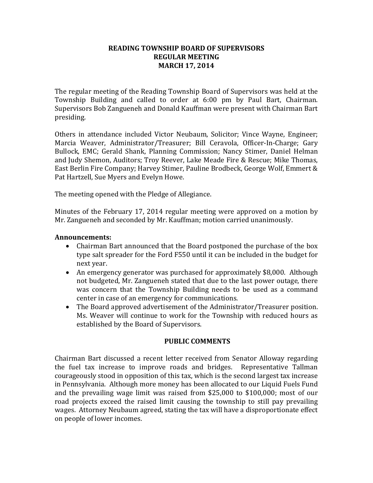#### **READING TOWNSHIP BOARD OF SUPERVISORS REGULAR MEETING MARCH 17, 2014**

The regular meeting of the Reading Township Board of Supervisors was held at the Township Building and called to order at 6:00 pm by Paul Bart, Chairman. Supervisors Bob Zangueneh and Donald Kauffman were present with Chairman Bart presiding.

Others in attendance included Victor Neubaum, Solicitor; Vince Wayne, Engineer; Marcia Weaver, Administrator/Treasurer; Bill Ceravola, Officer-In-Charge; Gary Bullock, EMC; Gerald Shank, Planning Commission; Nancy Stimer, Daniel Helman and Judy Shemon, Auditors; Troy Reever, Lake Meade Fire & Rescue; Mike Thomas, East Berlin Fire Company; Harvey Stimer, Pauline Brodbeck, George Wolf, Emmert & Pat Hartzell, Sue Myers and Evelyn Howe.

The meeting opened with the Pledge of Allegiance.

Minutes of the February 17, 2014 regular meeting were approved on a motion by Mr. Zangueneh and seconded by Mr. Kauffman; motion carried unanimously.

#### **Announcements:**

- Chairman Bart announced that the Board postponed the purchase of the box type salt spreader for the Ford F550 until it can be included in the budget for next year.
- An emergency generator was purchased for approximately \$8,000. Although not budgeted, Mr. Zangueneh stated that due to the last power outage, there was concern that the Township Building needs to be used as a command center in case of an emergency for communications.
- The Board approved advertisement of the Administrator/Treasurer position. Ms. Weaver will continue to work for the Township with reduced hours as established by the Board of Supervisors.

#### **PUBLIC COMMENTS**

Chairman Bart discussed a recent letter received from Senator Alloway regarding the fuel tax increase to improve roads and bridges. Representative Tallman courageously stood in opposition of this tax, which is the second largest tax increase in Pennsylvania. Although more money has been allocated to our Liquid Fuels Fund and the prevailing wage limit was raised from \$25,000 to \$100,000; most of our road projects exceed the raised limit causing the township to still pay prevailing wages. Attorney Neubaum agreed, stating the tax will have a disproportionate effect on people of lower incomes.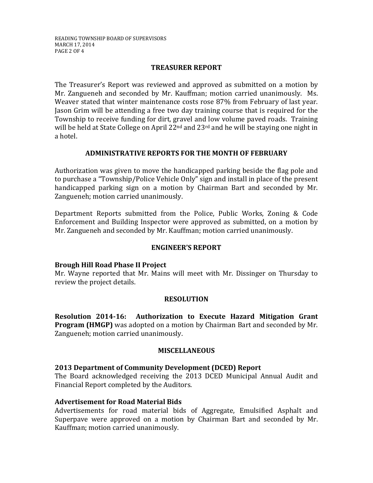# **TREASURER REPORT**

The Treasurer's Report was reviewed and approved as submitted on a motion by Mr. Zangueneh and seconded by Mr. Kauffman; motion carried unanimously. Ms. Weaver stated that winter maintenance costs rose 87% from February of last year. Jason Grim will be attending a free two day training course that is required for the Township to receive funding for dirt, gravel and low volume paved roads. Training will be held at State College on April 22<sup>nd</sup> and 23<sup>rd</sup> and he will be staying one night in a hotel.

# **ADMINISTRATIVE REPORTS FOR THE MONTH OF FEBRUARY**

Authorization was given to move the handicapped parking beside the flag pole and to purchase a "Township/Police Vehicle Only" sign and install in place of the present handicapped parking sign on a motion by Chairman Bart and seconded by Mr. Zangueneh; motion carried unanimously.

Department Reports submitted from the Police, Public Works, Zoning & Code Enforcement and Building Inspector were approved as submitted, on a motion by Mr. Zangueneh and seconded by Mr. Kauffman; motion carried unanimously.

# **ENGINEER'S REPORT**

# **Brough Hill Road Phase II Project**

Mr. Wayne reported that Mr. Mains will meet with Mr. Dissinger on Thursday to review the project details.

# **RESOLUTION**

**Resolution 2014-16: Authorization to Execute Hazard Mitigation Grant Program (HMGP)** was adopted on a motion by Chairman Bart and seconded by Mr. Zangueneh; motion carried unanimously.

# **MISCELLANEOUS**

# **2013 Department of Community Development (DCED) Report**

The Board acknowledged receiving the 2013 DCED Municipal Annual Audit and Financial Report completed by the Auditors.

# **Advertisement for Road Material Bids**

Advertisements for road material bids of Aggregate, Emulsified Asphalt and Superpave were approved on a motion by Chairman Bart and seconded by Mr. Kauffman; motion carried unanimously.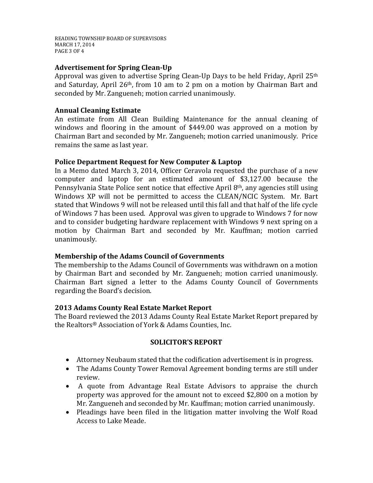READING TOWNSHIP BOARD OF SUPERVISORS MARCH 17, 2014 PAGE 3 OF 4

# **Advertisement for Spring Clean-Up**

Approval was given to advertise Spring Clean-Up Days to be held Friday, April 25th and Saturday, April 26th, from 10 am to 2 pm on a motion by Chairman Bart and seconded by Mr. Zangueneh; motion carried unanimously.

#### **Annual Cleaning Estimate**

An estimate from All Clean Building Maintenance for the annual cleaning of windows and flooring in the amount of \$449.00 was approved on a motion by Chairman Bart and seconded by Mr. Zangueneh; motion carried unanimously. Price remains the same as last year.

#### **Police Department Request for New Computer & Laptop**

In a Memo dated March 3, 2014, Officer Ceravola requested the purchase of a new computer and laptop for an estimated amount of \$3,127.00 because the Pennsylvania State Police sent notice that effective April 8th, any agencies still using Windows XP will not be permitted to access the CLEAN/NCIC System. Mr. Bart stated that Windows 9 will not be released until this fall and that half of the life cycle of Windows 7 has been used. Approval was given to upgrade to Windows 7 for now and to consider budgeting hardware replacement with Windows 9 next spring on a motion by Chairman Bart and seconded by Mr. Kauffman; motion carried unanimously.

# **Membership of the Adams Council of Governments**

The membership to the Adams Council of Governments was withdrawn on a motion by Chairman Bart and seconded by Mr. Zangueneh; motion carried unanimously. Chairman Bart signed a letter to the Adams County Council of Governments regarding the Board's decision.

#### **2013 Adams County Real Estate Market Report**

The Board reviewed the 2013 Adams County Real Estate Market Report prepared by the Realtors® Association of York & Adams Counties, Inc.

# **SOLICITOR'S REPORT**

- Attorney Neubaum stated that the codification advertisement is in progress.
- The Adams County Tower Removal Agreement bonding terms are still under review.
- A quote from Advantage Real Estate Advisors to appraise the church property was approved for the amount not to exceed \$2,800 on a motion by Mr. Zangueneh and seconded by Mr. Kauffman; motion carried unanimously.
- Pleadings have been filed in the litigation matter involving the Wolf Road Access to Lake Meade.